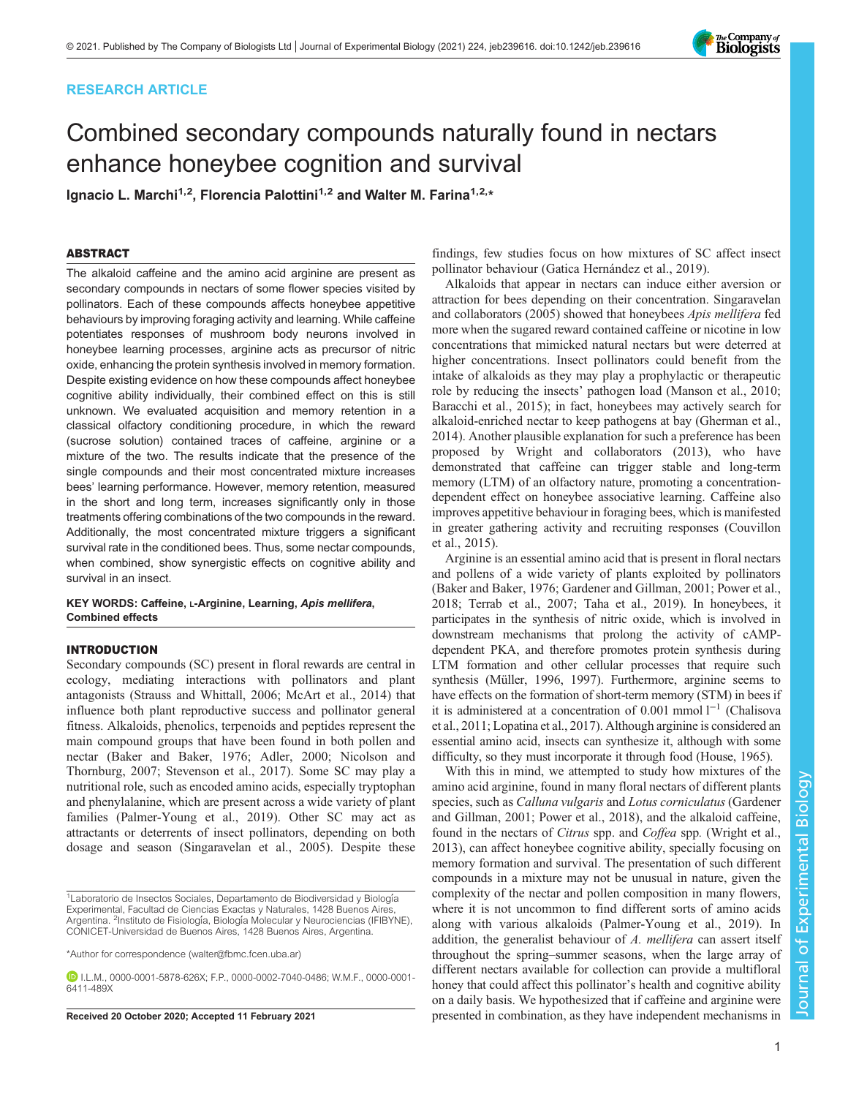# RESEARCH ARTICLE

# Combined secondary compounds naturally found in nectars enhance honeybee cognition and survival

Ignacio L. Marchi<sup>1,2</sup>, Florencia Palottini<sup>1,2</sup> and Walter M. Farina<sup>1,2,\*</sup>

# ABSTRACT

The alkaloid caffeine and the amino acid arginine are present as secondary compounds in nectars of some flower species visited by pollinators. Each of these compounds affects honeybee appetitive behaviours by improving foraging activity and learning. While caffeine potentiates responses of mushroom body neurons involved in honeybee learning processes, arginine acts as precursor of nitric oxide, enhancing the protein synthesis involved in memory formation. Despite existing evidence on how these compounds affect honeybee cognitive ability individually, their combined effect on this is still unknown. We evaluated acquisition and memory retention in a classical olfactory conditioning procedure, in which the reward (sucrose solution) contained traces of caffeine, arginine or a mixture of the two. The results indicate that the presence of the single compounds and their most concentrated mixture increases bees' learning performance. However, memory retention, measured in the short and long term, increases significantly only in those treatments offering combinations of the two compounds in the reward. Additionally, the most concentrated mixture triggers a significant survival rate in the conditioned bees. Thus, some nectar compounds, when combined, show synergistic effects on cognitive ability and survival in an insect.

# KEY WORDS: Caffeine, L-Arginine, Learning, Apis mellifera, Combined effects

## INTRODUCTION

Secondary compounds (SC) present in floral rewards are central in ecology, mediating interactions with pollinators and plant antagonists ([Strauss and Whittall, 2006](#page-6-0); [McArt et al., 2014](#page-6-0)) that influence both plant reproductive success and pollinator general fitness. Alkaloids, phenolics, terpenoids and peptides represent the main compound groups that have been found in both pollen and nectar [\(Baker and Baker, 1976; Adler, 2000;](#page-5-0) [Nicolson and](#page-6-0) [Thornburg, 2007; Stevenson et al., 2017\)](#page-6-0). Some SC may play a nutritional role, such as encoded amino acids, especially tryptophan and phenylalanine, which are present across a wide variety of plant families [\(Palmer-Young et al., 2019](#page-6-0)). Other SC may act as attractants or deterrents of insect pollinators, depending on both dosage and season ([Singaravelan et al., 2005](#page-6-0)). Despite these

findings, few studies focus on how mixtures of SC affect insect pollinator behaviour [\(Gatica Hernández et al., 2019](#page-6-0)).

Alkaloids that appear in nectars can induce either aversion or attraction for bees depending on their concentration. [Singaravelan](#page-6-0) [and collaborators \(2005\)](#page-6-0) showed that honeybees Apis mellifera fed more when the sugared reward contained caffeine or nicotine in low concentrations that mimicked natural nectars but were deterred at higher concentrations. Insect pollinators could benefit from the intake of alkaloids as they may play a prophylactic or therapeutic role by reducing the insects' pathogen load [\(Manson et al., 2010](#page-6-0); [Baracchi et al., 2015](#page-5-0)); in fact, honeybees may actively search for alkaloid-enriched nectar to keep pathogens at bay [\(Gherman et al.,](#page-6-0) [2014\)](#page-6-0). Another plausible explanation for such a preference has been proposed by [Wright and collaborators \(2013\)](#page-6-0), who have demonstrated that caffeine can trigger stable and long-term memory (LTM) of an olfactory nature, promoting a concentrationdependent effect on honeybee associative learning. Caffeine also improves appetitive behaviour in foraging bees, which is manifested in greater gathering activity and recruiting responses [\(Couvillon](#page-6-0) [et al., 2015\)](#page-6-0).

Arginine is an essential amino acid that is present in floral nectars and pollens of a wide variety of plants exploited by pollinators [\(Baker and Baker, 1976](#page-5-0); [Gardener and Gillman, 2001](#page-6-0); [Power et al.,](#page-6-0) [2018; Terrab et al., 2007](#page-6-0); [Taha et al., 2019\)](#page-6-0). In honeybees, it participates in the synthesis of nitric oxide, which is involved in downstream mechanisms that prolong the activity of cAMPdependent PKA, and therefore promotes protein synthesis during LTM formation and other cellular processes that require such synthesis ([Müller, 1996, 1997\)](#page-6-0). Furthermore, arginine seems to have effects on the formation of short-term memory (STM) in bees if it is administered at a concentration of 0.001 mmol l−<sup>1</sup> [\(Chalisova](#page-6-0) [et al., 2011; Lopatina et al., 2017](#page-6-0)). Although arginine is considered an essential amino acid, insects can synthesize it, although with some difficulty, so they must incorporate it through food ([House, 1965](#page-6-0)).

With this in mind, we attempted to study how mixtures of the amino acid arginine, found in many floral nectars of different plants species, such as Calluna vulgaris and Lotus corniculatus ([Gardener](#page-6-0) [and Gillman, 2001; Power et al., 2018\)](#page-6-0), and the alkaloid caffeine, found in the nectars of *Citrus* spp. and *Coffea* spp. [\(Wright et al.,](#page-6-0) [2013\)](#page-6-0), can affect honeybee cognitive ability, specially focusing on memory formation and survival. The presentation of such different compounds in a mixture may not be unusual in nature, given the complexity of the nectar and pollen composition in many flowers, where it is not uncommon to find different sorts of amino acids along with various alkaloids [\(Palmer-Young et al., 2019](#page-6-0)). In addition, the generalist behaviour of A. mellifera can assert itself throughout the spring–summer seasons, when the large array of different nectars available for collection can provide a multifloral honey that could affect this pollinator's health and cognitive ability on a daily basis. We hypothesized that if caffeine and arginine were Received 20 October 2020; Accepted 11 February 2021 presented in combination, as they have independent mechanisms in



<sup>&</sup>lt;sup>1</sup> Laboratorio de Insectos Sociales, Departamento de Biodiversidad y Biología Experimental, Facultad de Ciencias Exactas y Naturales, 1428 Buenos Aires, Argentina. <sup>2</sup>Instituto de Fisiología, Biología Molecular y Neurociencias (IFIBYNE), CONICET-Universidad de Buenos Aires, 1428 Buenos Aires, Argentina.

<sup>\*</sup>Author for correspondence [\(walter@fbmc.fcen.uba.ar](mailto:walter@fbmc.fcen.uba.ar))

I.L.M., [0000-0001-5878-626X](http://orcid.org/0000-0001-5878-626X); F.P., [0000-0002-7040-0486;](http://orcid.org/0000-0002-7040-0486) W.M.F., [0000-0001-](http://orcid.org/0000-0001-6411-489X) [6411-489X](http://orcid.org/0000-0001-6411-489X)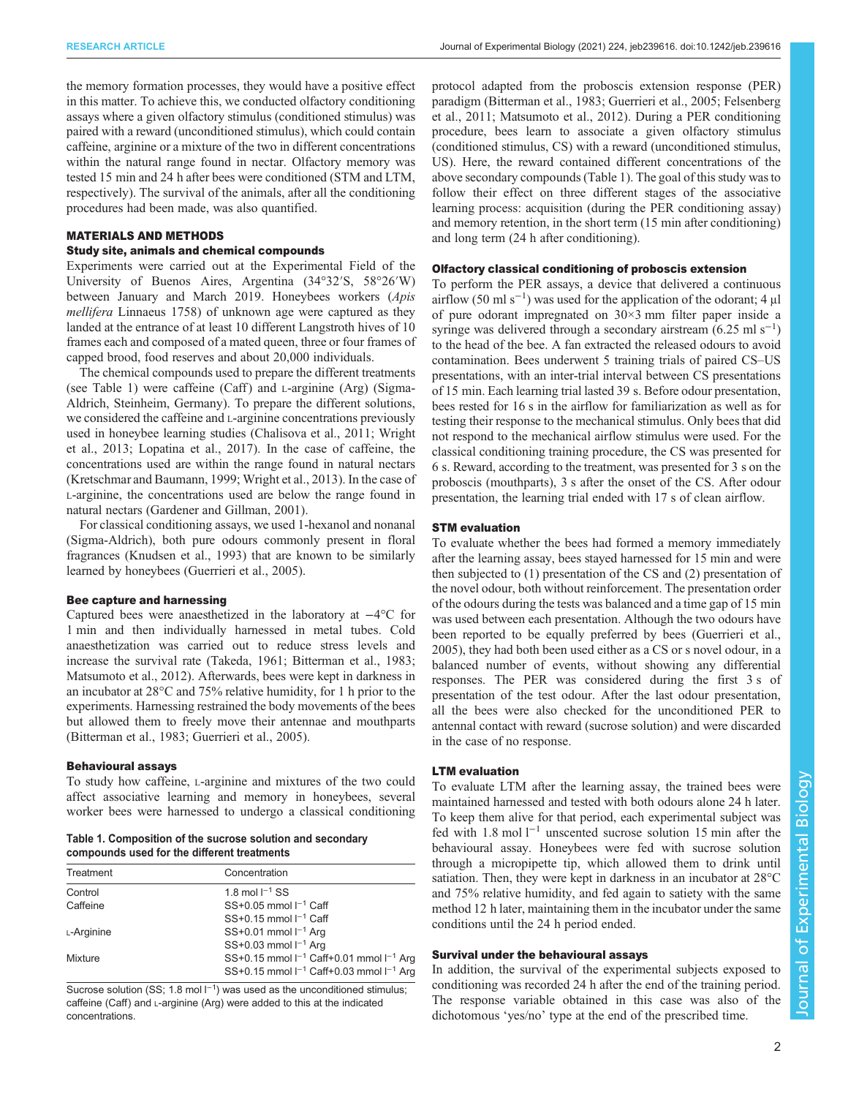the memory formation processes, they would have a positive effect in this matter. To achieve this, we conducted olfactory conditioning assays where a given olfactory stimulus (conditioned stimulus) was paired with a reward (unconditioned stimulus), which could contain caffeine, arginine or a mixture of the two in different concentrations within the natural range found in nectar. Olfactory memory was tested 15 min and 24 h after bees were conditioned (STM and LTM, respectively). The survival of the animals, after all the conditioning procedures had been made, was also quantified.

# MATERIALS AND METHODS

## Study site, animals and chemical compounds

Experiments were carried out at the Experimental Field of the University of Buenos Aires, Argentina (34°32′S, 58°26′W) between January and March 2019. Honeybees workers (Apis mellifera Linnaeus 1758) of unknown age were captured as they landed at the entrance of at least 10 different Langstroth hives of 10 frames each and composed of a mated queen, three or four frames of capped brood, food reserves and about 20,000 individuals.

The chemical compounds used to prepare the different treatments (see Table 1) were caffeine (Caff ) and L-arginine (Arg) (Sigma-Aldrich, Steinheim, Germany). To prepare the different solutions, we considered the caffeine and L-arginine concentrations previously used in honeybee learning studies ([Chalisova et al., 2011; Wright](#page-6-0) [et al., 2013](#page-6-0); [Lopatina et al., 2017\)](#page-6-0). In the case of caffeine, the concentrations used are within the range found in natural nectars [\(Kretschmar and Baumann, 1999; Wright et al., 2013](#page-6-0)). In the case of L-arginine, the concentrations used are below the range found in natural nectars ([Gardener and Gillman, 2001](#page-6-0)).

For classical conditioning assays, we used 1-hexanol and nonanal (Sigma-Aldrich), both pure odours commonly present in floral fragrances [\(Knudsen et al., 1993](#page-6-0)) that are known to be similarly learned by honeybees ([Guerrieri et al., 2005](#page-6-0)).

## Bee capture and harnessing

Captured bees were anaesthetized in the laboratory at −4°C for 1 min and then individually harnessed in metal tubes. Cold anaesthetization was carried out to reduce stress levels and increase the survival rate [\(Takeda, 1961;](#page-6-0) [Bitterman et al., 1983](#page-5-0); [Matsumoto et al., 2012](#page-6-0)). Afterwards, bees were kept in darkness in an incubator at 28°C and 75% relative humidity, for 1 h prior to the experiments. Harnessing restrained the body movements of the bees but allowed them to freely move their antennae and mouthparts [\(Bitterman et al., 1983;](#page-5-0) [Guerrieri et al., 2005\)](#page-6-0).

#### Behavioural assays

To study how caffeine, L-arginine and mixtures of the two could affect associative learning and memory in honeybees, several worker bees were harnessed to undergo a classical conditioning

Table 1. Composition of the sucrose solution and secondary compounds used for the different treatments

| Treatment  | Concentration                                     |
|------------|---------------------------------------------------|
| Control    | 1.8 mol $I^{-1}$ SS                               |
| Caffeine   | $SS+0.05$ mmol $I^{-1}$ Caff                      |
|            | $SS+0.15$ mmol $I^{-1}$ Caff                      |
| L-Arginine | SS+0.01 mmol $I^{-1}$ Arg                         |
|            | SS+0.03 mmol $I^{-1}$ Arg                         |
| Mixture    | SS+0.15 mmol $I^{-1}$ Caff+0.01 mmol $I^{-1}$ Arg |
|            | SS+0.15 mmol $I^{-1}$ Caff+0.03 mmol $I^{-1}$ Arg |

Sucrose solution (SS; 1.8 mol  $I^{-1}$ ) was used as the unconditioned stimulus; caffeine (Caff) and L-arginine (Arg) were added to this at the indicated concentrations.

protocol adapted from the proboscis extension response (PER) paradigm ([Bitterman et al., 1983;](#page-5-0) [Guerrieri et al., 2005; Felsenberg](#page-6-0) [et al., 2011](#page-6-0); [Matsumoto et al., 2012](#page-6-0)). During a PER conditioning procedure, bees learn to associate a given olfactory stimulus (conditioned stimulus, CS) with a reward (unconditioned stimulus, US). Here, the reward contained different concentrations of the above secondary compounds (Table 1). The goal of this study was to follow their effect on three different stages of the associative learning process: acquisition (during the PER conditioning assay) and memory retention, in the short term (15 min after conditioning) and long term (24 h after conditioning).

#### Olfactory classical conditioning of proboscis extension

To perform the PER assays, a device that delivered a continuous airflow (50 ml s<sup>-1</sup>) was used for the application of the odorant; 4 µl of pure odorant impregnated on 30×3 mm filter paper inside a syringe was delivered through a secondary airstream (6.25 ml s<sup>-1</sup>) to the head of the bee. A fan extracted the released odours to avoid contamination. Bees underwent 5 training trials of paired CS–US presentations, with an inter-trial interval between CS presentations of 15 min. Each learning trial lasted 39 s. Before odour presentation, bees rested for 16 s in the airflow for familiarization as well as for testing their response to the mechanical stimulus. Only bees that did not respond to the mechanical airflow stimulus were used. For the classical conditioning training procedure, the CS was presented for 6 s. Reward, according to the treatment, was presented for 3 s on the proboscis (mouthparts), 3 s after the onset of the CS. After odour presentation, the learning trial ended with 17 s of clean airflow.

## STM evaluation

To evaluate whether the bees had formed a memory immediately after the learning assay, bees stayed harnessed for 15 min and were then subjected to (1) presentation of the CS and (2) presentation of the novel odour, both without reinforcement. The presentation order of the odours during the tests was balanced and a time gap of 15 min was used between each presentation. Although the two odours have been reported to be equally preferred by bees ([Guerrieri et al.,](#page-6-0) [2005\)](#page-6-0), they had both been used either as a CS or s novel odour, in a balanced number of events, without showing any differential responses. The PER was considered during the first 3 s of presentation of the test odour. After the last odour presentation, all the bees were also checked for the unconditioned PER to antennal contact with reward (sucrose solution) and were discarded in the case of no response.

# LTM evaluation

To evaluate LTM after the learning assay, the trained bees were maintained harnessed and tested with both odours alone 24 h later. To keep them alive for that period, each experimental subject was fed with 1.8 mol l−<sup>1</sup> unscented sucrose solution 15 min after the behavioural assay. Honeybees were fed with sucrose solution through a micropipette tip, which allowed them to drink until satiation. Then, they were kept in darkness in an incubator at 28°C and 75% relative humidity, and fed again to satiety with the same method 12 h later, maintaining them in the incubator under the same conditions until the 24 h period ended.

## Survival under the behavioural assays

In addition, the survival of the experimental subjects exposed to conditioning was recorded 24 h after the end of the training period. The response variable obtained in this case was also of the dichotomous 'yes/no' type at the end of the prescribed time.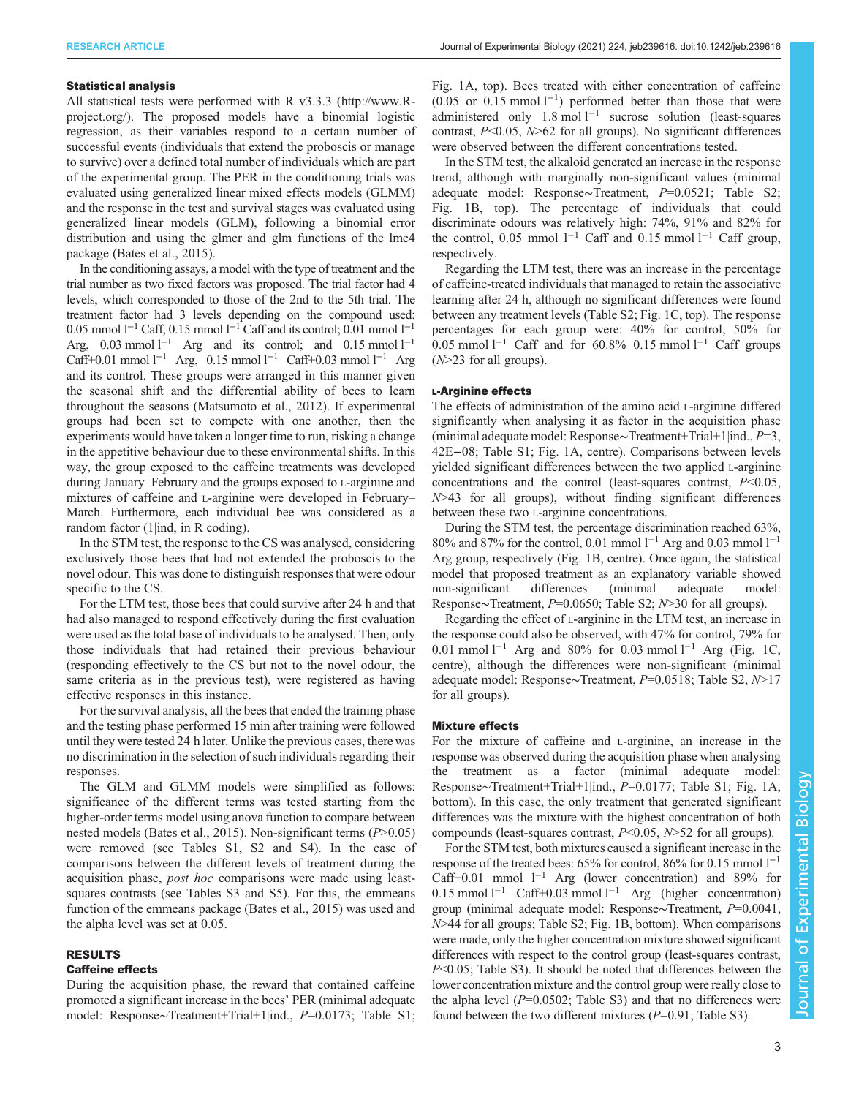## Statistical analysis

All statistical tests were performed with R v3.3.3 [\(http://www.R](http://www.R-project.org/)[project.org/](http://www.R-project.org/)). The proposed models have a binomial logistic regression, as their variables respond to a certain number of successful events (individuals that extend the proboscis or manage to survive) over a defined total number of individuals which are part of the experimental group. The PER in the conditioning trials was evaluated using generalized linear mixed effects models (GLMM) and the response in the test and survival stages was evaluated using generalized linear models (GLM), following a binomial error distribution and using the glmer and glm functions of the lme4 package [\(Bates et al., 2015](#page-5-0)).

In the conditioning assays, a model with the type of treatment and the trial number as two fixed factors was proposed. The trial factor had 4 levels, which corresponded to those of the 2nd to the 5th trial. The treatment factor had 3 levels depending on the compound used: 0.05 mmol l−<sup>1</sup> Caff, 0.15 mmol l−<sup>1</sup> Caff and its control; 0.01 mmol l−<sup>1</sup> Arg, 0.03 mmol  $l^{-1}$  Arg and its control; and 0.15 mmol  $l^{-1}$ Caff+0.01 mmol l<sup>−1</sup> Arg, 0.15 mmol l<sup>−1</sup> Caff+0.03 mmol l<sup>−1</sup> Arg and its control. These groups were arranged in this manner given the seasonal shift and the differential ability of bees to learn throughout the seasons ([Matsumoto et al., 2012\)](#page-6-0). If experimental groups had been set to compete with one another, then the experiments would have taken a longer time to run, risking a change in the appetitive behaviour due to these environmental shifts. In this way, the group exposed to the caffeine treatments was developed during January–February and the groups exposed to L-arginine and mixtures of caffeine and L-arginine were developed in February– March. Furthermore, each individual bee was considered as a random factor (1|ind, in R coding).

In the STM test, the response to the CS was analysed, considering exclusively those bees that had not extended the proboscis to the novel odour. This was done to distinguish responses that were odour specific to the CS.

For the LTM test, those bees that could survive after 24 h and that had also managed to respond effectively during the first evaluation were used as the total base of individuals to be analysed. Then, only those individuals that had retained their previous behaviour (responding effectively to the CS but not to the novel odour, the same criteria as in the previous test), were registered as having effective responses in this instance.

For the survival analysis, all the bees that ended the training phase and the testing phase performed 15 min after training were followed until they were tested 24 h later. Unlike the previous cases, there was no discrimination in the selection of such individuals regarding their responses.

The GLM and GLMM models were simplified as follows: significance of the different terms was tested starting from the higher-order terms model using anova function to compare between nested models [\(Bates et al., 2015](#page-5-0)). Non-significant terms (P>0.05) were removed (see [Tables S1, S2 and S4\)](http://jeb.biologists.org/lookup/doi/10.1242/jeb.239616.supplemental). In the case of comparisons between the different levels of treatment during the acquisition phase, post hoc comparisons were made using leastsquares contrasts (see [Tables S3 and S5](http://jeb.biologists.org/lookup/doi/10.1242/jeb.239616.supplemental)). For this, the emmeans function of the emmeans package ([Bates et al., 2015\)](#page-5-0) was used and the alpha level was set at 0.05.

# RESULTS

#### Caffeine effects

During the acquisition phase, the reward that contained caffeine promoted a significant increase in the bees' PER (minimal adequate model: Response∼Treatment+Trial+1|ind., P=0.0173; [Table S1](http://jeb.biologists.org/lookup/doi/10.1242/jeb.239616.supplemental);

[Fig. 1A](#page-3-0), top). Bees treated with either concentration of caffeine (0.05 or 0.15 mmol l−<sup>1</sup> ) performed better than those that were administered only 1.8 mol l−<sup>1</sup> sucrose solution (least-squares contrast,  $P<0.05$ ,  $N>62$  for all groups). No significant differences were observed between the different concentrations tested.

In the STM test, the alkaloid generated an increase in the response trend, although with marginally non-significant values (minimal adequate model: Response∼Treatment, P=0.0521; [Table S2](http://jeb.biologists.org/lookup/doi/10.1242/jeb.239616.supplemental); [Fig. 1](#page-3-0)B, top). The percentage of individuals that could discriminate odours was relatively high: 74%, 91% and 82% for the control, 0.05 mmol  $l^{-1}$  Caff and 0.15 mmol  $l^{-1}$  Caff group, respectively.

Regarding the LTM test, there was an increase in the percentage of caffeine-treated individuals that managed to retain the associative learning after 24 h, although no significant differences were found between any treatment levels ([Table S2;](http://jeb.biologists.org/lookup/doi/10.1242/jeb.239616.supplemental) [Fig. 1](#page-3-0)C, top). The response percentages for each group were: 40% for control, 50% for 0.05 mmol  $l^{-1}$  Caff and for 60.8% 0.15 mmol  $l^{-1}$  Caff groups (N>23 for all groups).

## L-Arginine effects

The effects of administration of the amino acid L-arginine differed significantly when analysing it as factor in the acquisition phase (minimal adequate model: Response∼Treatment+Trial+1|ind., P=3, 42E−08; [Table S1](http://jeb.biologists.org/lookup/doi/10.1242/jeb.239616.supplemental); [Fig. 1A](#page-3-0), centre). Comparisons between levels yielded significant differences between the two applied L-arginine concentrations and the control (least-squares contrast,  $P<0.05$ ,  $N>43$  for all groups), without finding significant differences between these two L-arginine concentrations.

During the STM test, the percentage discrimination reached 63%, 80% and 87% for the control, 0.01 mmol l<sup>-1</sup> Arg and 0.03 mmol l<sup>-1</sup> Arg group, respectively [\(Fig. 1](#page-3-0)B, centre). Once again, the statistical model that proposed treatment as an explanatory variable showed non-significant differences (minimal adequate model: Response∼Treatment, P=0.0650; [Table S2;](http://jeb.biologists.org/lookup/doi/10.1242/jeb.239616.supplemental) N>30 for all groups).

Regarding the effect of L-arginine in the LTM test, an increase in the response could also be observed, with 47% for control, 79% for 0.01 mmol l−<sup>1</sup> Arg and 80% for 0.03 mmol l−<sup>1</sup> Arg [\(Fig. 1](#page-3-0)C, centre), although the differences were non-significant (minimal adequate model: Response∼Treatment, P=0.0518; [Table S2,](http://jeb.biologists.org/lookup/doi/10.1242/jeb.239616.supplemental) N>17 for all groups).

## Mixture effects

For the mixture of caffeine and L-arginine, an increase in the response was observed during the acquisition phase when analysing the treatment as a factor (minimal adequate model: Response∼Treatment+Trial+1|ind., P=0.0177; [Table S1;](http://jeb.biologists.org/lookup/doi/10.1242/jeb.239616.supplemental) [Fig. 1A](#page-3-0), bottom). In this case, the only treatment that generated significant differences was the mixture with the highest concentration of both compounds (least-squares contrast,  $P<0.05$ ,  $N>52$  for all groups).

For the STM test, both mixtures caused a significant increase in the response of the treated bees:  $65\%$  for control,  $86\%$  for 0.15 mmol l<sup>-1</sup> Caff+0.01 mmol l−<sup>1</sup> Arg (lower concentration) and 89% for 0.15 mmol l−<sup>1</sup> Caff+0.03 mmol l−<sup>1</sup> Arg (higher concentration) group (minimal adequate model: Response∼Treatment, P=0.0041, N>44 for all groups; [Table S2;](http://jeb.biologists.org/lookup/doi/10.1242/jeb.239616.supplemental) [Fig. 1](#page-3-0)B, bottom). When comparisons were made, only the higher concentration mixture showed significant differences with respect to the control group (least-squares contrast, P<0.05; [Table S3](http://jeb.biologists.org/lookup/doi/10.1242/jeb.239616.supplemental)). It should be noted that differences between the lower concentration mixture and the control group were really close to the alpha level  $(P=0.0502;$  [Table S3](http://jeb.biologists.org/lookup/doi/10.1242/jeb.239616.supplemental)) and that no differences were found between the two different mixtures  $(P=0.91;$  [Table S3\)](http://jeb.biologists.org/lookup/doi/10.1242/jeb.239616.supplemental).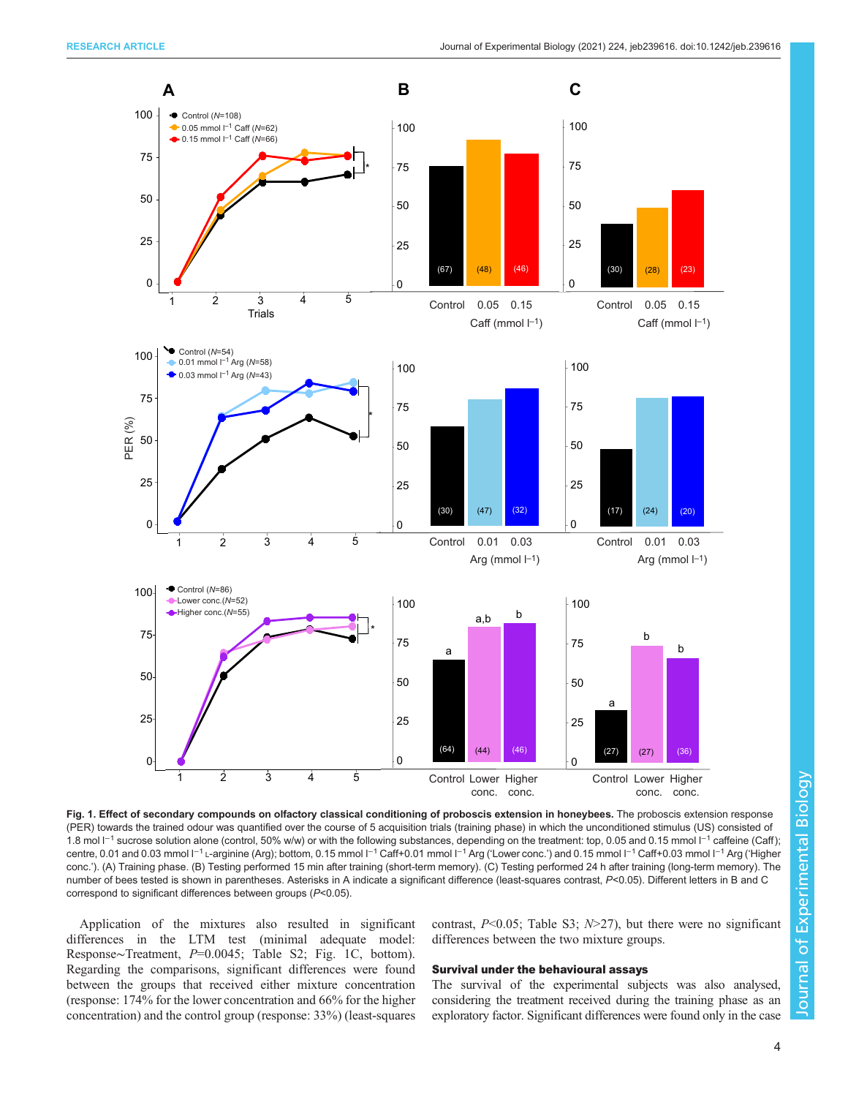<span id="page-3-0"></span>

Fig. 1. Effect of secondary compounds on olfactory classical conditioning of proboscis extension in honeybees. The proboscis extension response (PER) towards the trained odour was quantified over the course of 5 acquisition trials (training phase) in which the unconditioned stimulus (US) consisted of 1.8 mol  $\Gamma$ <sup>1</sup> sucrose solution alone (control, 50% w/w) or with the following substances, depending on the treatment: top, 0.05 and 0.15 mmol  $\Gamma$ <sup>1</sup> caffeine (Caff); centre, 0.01 and 0.03 mmol l<sup>−1</sup> L-arginine (Arg); bottom, 0.15 mmol l<sup>−1</sup> Caff+0.01 mmol l<sup>−1</sup> Arg ('Lower conc.') and 0.15 mmol l<sup>−1</sup> Caff+0.03 mmol l<sup>−1</sup> Arg ('Higher conc.'). (A) Training phase. (B) Testing performed 15 min after training (short-term memory). (C) Testing performed 24 h after training (long-term memory). The number of bees tested is shown in parentheses. Asterisks in A indicate a significant difference (least-squares contrast, P<0.05). Different letters in B and C correspond to significant differences between groups (P<0.05).

Application of the mixtures also resulted in significant differences in the LTM test (minimal adequate model: Response∼Treatment, P=0.0045; [Table S2](http://jeb.biologists.org/lookup/doi/10.1242/jeb.239616.supplemental); Fig. 1C, bottom). Regarding the comparisons, significant differences were found between the groups that received either mixture concentration (response: 174% for the lower concentration and 66% for the higher concentration) and the control group (response: 33%) (least-squares contrast,  $P<0.05$ ; [Table S3;](http://jeb.biologists.org/lookup/doi/10.1242/jeb.239616.supplemental)  $N>27$ ), but there were no significant differences between the two mixture groups.

### Survival under the behavioural assays

The survival of the experimental subjects was also analysed, considering the treatment received during the training phase as an exploratory factor. Significant differences were found only in the case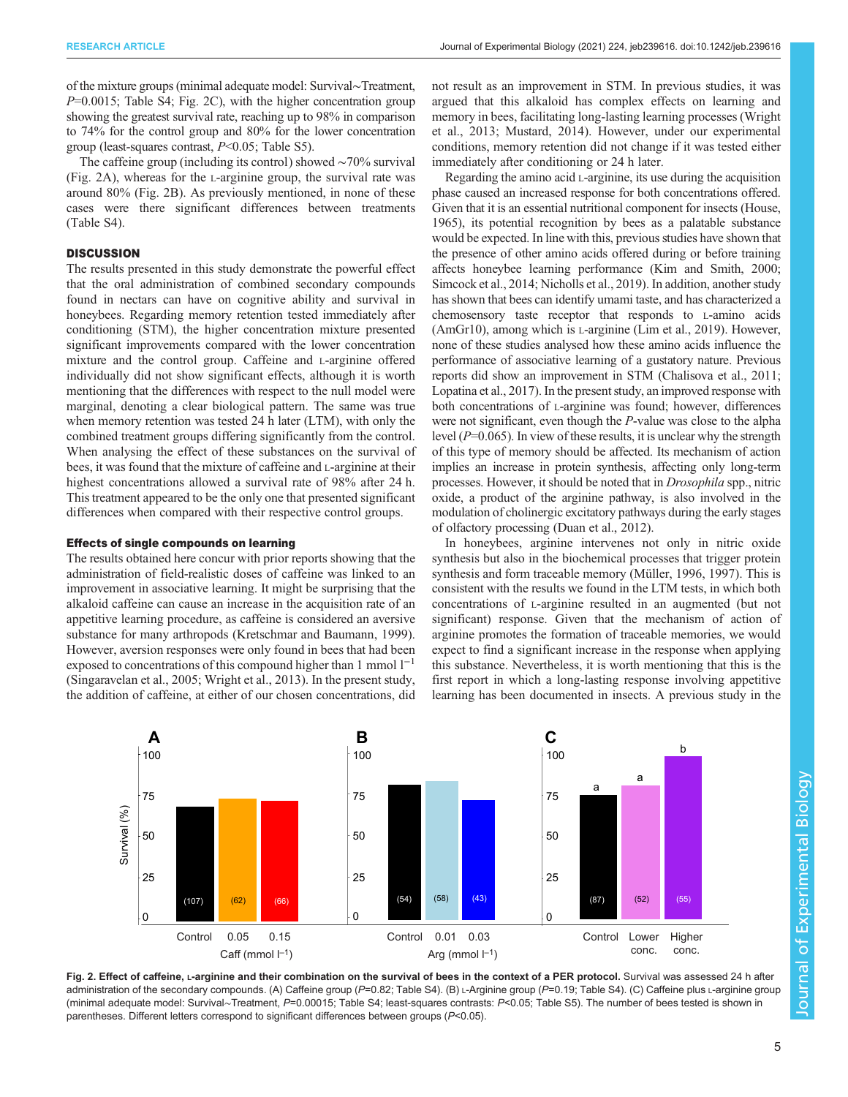of the mixture groups (minimal adequate model: Survival∼Treatment,  $P=0.0015$ ; [Table S4](http://jeb.biologists.org/lookup/doi/10.1242/jeb.239616.supplemental); Fig. 2C), with the higher concentration group showing the greatest survival rate, reaching up to 98% in comparison to 74% for the control group and 80% for the lower concentration group (least-squares contrast, P<0.05; [Table S5](http://jeb.biologists.org/lookup/doi/10.1242/jeb.239616.supplemental)).

The caffeine group (including its control) showed ∼70% survival (Fig. 2A), whereas for the L-arginine group, the survival rate was around 80% (Fig. 2B). As previously mentioned, in none of these cases were there significant differences between treatments [\(Table S4\)](http://jeb.biologists.org/lookup/doi/10.1242/jeb.239616.supplemental).

# **DISCUSSION**

The results presented in this study demonstrate the powerful effect that the oral administration of combined secondary compounds found in nectars can have on cognitive ability and survival in honeybees. Regarding memory retention tested immediately after conditioning (STM), the higher concentration mixture presented significant improvements compared with the lower concentration mixture and the control group. Caffeine and L-arginine offered individually did not show significant effects, although it is worth mentioning that the differences with respect to the null model were marginal, denoting a clear biological pattern. The same was true when memory retention was tested 24 h later (LTM), with only the combined treatment groups differing significantly from the control. When analysing the effect of these substances on the survival of bees, it was found that the mixture of caffeine and L-arginine at their highest concentrations allowed a survival rate of 98% after 24 h. This treatment appeared to be the only one that presented significant differences when compared with their respective control groups.

## Effects of single compounds on learning

The results obtained here concur with prior reports showing that the administration of field-realistic doses of caffeine was linked to an improvement in associative learning. It might be surprising that the alkaloid caffeine can cause an increase in the acquisition rate of an appetitive learning procedure, as caffeine is considered an aversive substance for many arthropods [\(Kretschmar and Baumann, 1999\)](#page-6-0). However, aversion responses were only found in bees that had been exposed to concentrations of this compound higher than 1 mmol  $1^{-1}$ [\(Singaravelan et al., 2005](#page-6-0); [Wright et al., 2013\)](#page-6-0). In the present study, the addition of caffeine, at either of our chosen concentrations, did

not result as an improvement in STM. In previous studies, it was argued that this alkaloid has complex effects on learning and memory in bees, facilitating long-lasting learning processes ([Wright](#page-6-0) [et al., 2013](#page-6-0); [Mustard, 2014](#page-6-0)). However, under our experimental conditions, memory retention did not change if it was tested either immediately after conditioning or 24 h later.

Regarding the amino acid L-arginine, its use during the acquisition phase caused an increased response for both concentrations offered. Given that it is an essential nutritional component for insects [\(House,](#page-6-0) [1965\)](#page-6-0), its potential recognition by bees as a palatable substance would be expected. In line with this, previous studies have shown that the presence of other amino acids offered during or before training affects honeybee learning performance [\(Kim and Smith, 2000](#page-6-0); [Simcock et al., 2014](#page-6-0); [Nicholls et al., 2019\)](#page-6-0). In addition, another study has shown that bees can identify umami taste, and has characterized a chemosensory taste receptor that responds to L-amino acids (AmGr10), among which is L-arginine ([Lim et al., 2019](#page-6-0)). However, none of these studies analysed how these amino acids influence the performance of associative learning of a gustatory nature. Previous reports did show an improvement in STM [\(Chalisova et al., 2011](#page-6-0); [Lopatina et al., 2017](#page-6-0)). In the present study, an improved response with both concentrations of L-arginine was found; however, differences were not significant, even though the P-value was close to the alpha level  $(P=0.065)$ . In view of these results, it is unclear why the strength of this type of memory should be affected. Its mechanism of action implies an increase in protein synthesis, affecting only long-term processes. However, it should be noted that in Drosophila spp., nitric oxide, a product of the arginine pathway, is also involved in the modulation of cholinergic excitatory pathways during the early stages of olfactory processing ([Duan et al., 2012](#page-6-0)).

In honeybees, arginine intervenes not only in nitric oxide synthesis but also in the biochemical processes that trigger protein synthesis and form traceable memory ([Müller, 1996](#page-6-0), [1997\)](#page-6-0). This is consistent with the results we found in the LTM tests, in which both concentrations of L-arginine resulted in an augmented (but not significant) response. Given that the mechanism of action of arginine promotes the formation of traceable memories, we would expect to find a significant increase in the response when applying this substance. Nevertheless, it is worth mentioning that this is the first report in which a long-lasting response involving appetitive learning has been documented in insects. A previous study in the



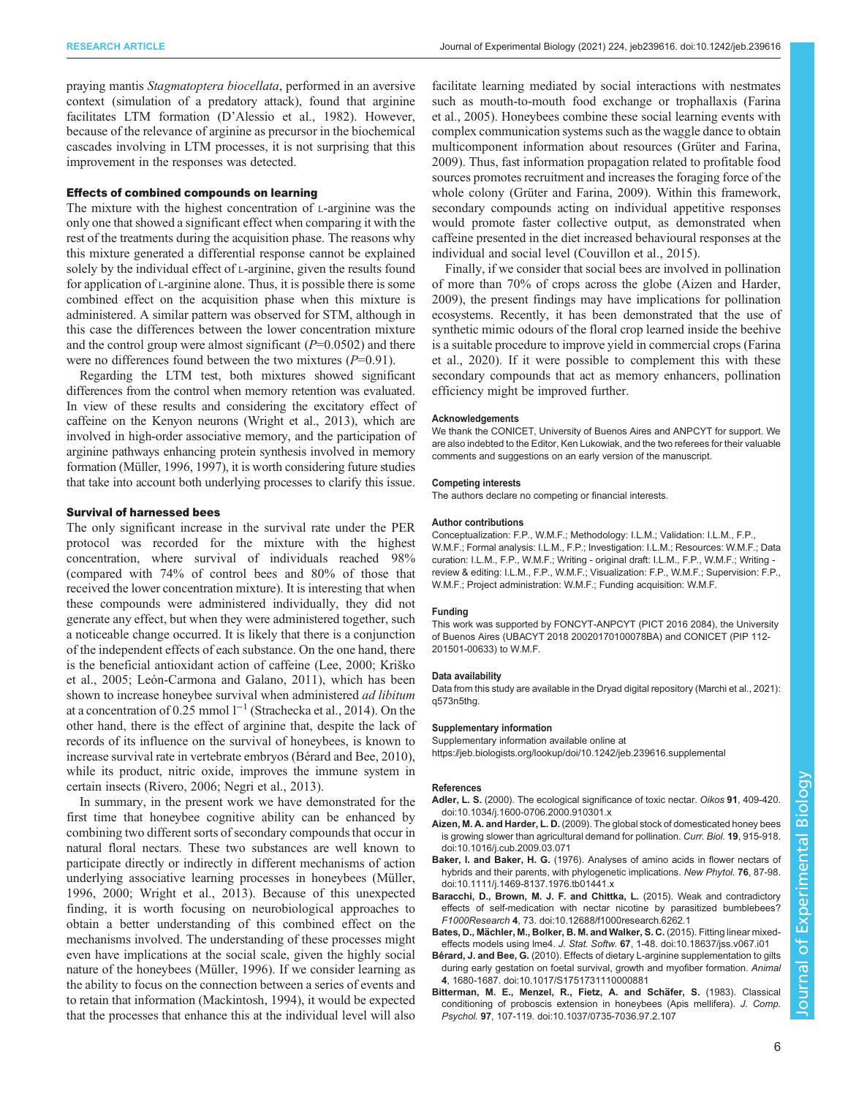<span id="page-5-0"></span>praying mantis Stagmatoptera biocellata, performed in an aversive context (simulation of a predatory attack), found that arginine facilitates LTM formation (D'[Alessio et al., 1982\)](#page-6-0). However, because of the relevance of arginine as precursor in the biochemical cascades involving in LTM processes, it is not surprising that this improvement in the responses was detected.

## Effects of combined compounds on learning

The mixture with the highest concentration of L-arginine was the only one that showed a significant effect when comparing it with the rest of the treatments during the acquisition phase. The reasons why this mixture generated a differential response cannot be explained solely by the individual effect of L-arginine, given the results found for application of L-arginine alone. Thus, it is possible there is some combined effect on the acquisition phase when this mixture is administered. A similar pattern was observed for STM, although in this case the differences between the lower concentration mixture and the control group were almost significant  $(P=0.0502)$  and there were no differences found between the two mixtures  $(P=0.91)$ .

Regarding the LTM test, both mixtures showed significant differences from the control when memory retention was evaluated. In view of these results and considering the excitatory effect of caffeine on the Kenyon neurons [\(Wright et al., 2013](#page-6-0)), which are involved in high-order associative memory, and the participation of arginine pathways enhancing protein synthesis involved in memory formation [\(Müller, 1996](#page-6-0), [1997\)](#page-6-0), it is worth considering future studies that take into account both underlying processes to clarify this issue.

#### Survival of harnessed bees

The only significant increase in the survival rate under the PER protocol was recorded for the mixture with the highest concentration, where survival of individuals reached 98% (compared with 74% of control bees and 80% of those that received the lower concentration mixture). It is interesting that when these compounds were administered individually, they did not generate any effect, but when they were administered together, such a noticeable change occurred. It is likely that there is a conjunction of the independent effects of each substance. On the one hand, there is the beneficial antioxidant action of caffeine [\(Lee, 2000; Kri](#page-6-0)ško [et al., 2005; León-Carmona and Galano, 2011\)](#page-6-0), which has been shown to increase honeybee survival when administered *ad libitum* at a concentration of 0.25 mmol l−<sup>1</sup> ([Strachecka et al., 2014\)](#page-6-0). On the other hand, there is the effect of arginine that, despite the lack of records of its influence on the survival of honeybees, is known to increase survival rate in vertebrate embryos (Bérard and Bee, 2010), while its product, nitric oxide, improves the immune system in certain insects [\(Rivero, 2006; Negri et al., 2013\)](#page-6-0).

In summary, in the present work we have demonstrated for the first time that honeybee cognitive ability can be enhanced by combining two different sorts of secondary compounds that occur in natural floral nectars. These two substances are well known to participate directly or indirectly in different mechanisms of action underlying associative learning processes in honeybees [\(Müller,](#page-6-0) [1996](#page-6-0), [2000](#page-6-0); [Wright et al., 2013](#page-6-0)). Because of this unexpected finding, it is worth focusing on neurobiological approaches to obtain a better understanding of this combined effect on the mechanisms involved. The understanding of these processes might even have implications at the social scale, given the highly social nature of the honeybees ([Müller, 1996\)](#page-6-0). If we consider learning as the ability to focus on the connection between a series of events and to retain that information [\(Mackintosh, 1994\)](#page-6-0), it would be expected that the processes that enhance this at the individual level will also

facilitate learning mediated by social interactions with nestmates such as mouth-to-mouth food exchange or trophallaxis [\(Farina](#page-6-0) [et al., 2005](#page-6-0)). Honeybees combine these social learning events with complex communication systems such as the waggle dance to obtain multicomponent information about resources [\(Grüter and Farina,](#page-6-0) [2009\)](#page-6-0). Thus, fast information propagation related to profitable food sources promotes recruitment and increases the foraging force of the whole colony [\(Grüter and Farina, 2009](#page-6-0)). Within this framework, secondary compounds acting on individual appetitive responses would promote faster collective output, as demonstrated when caffeine presented in the diet increased behavioural responses at the individual and social level ([Couvillon et al., 2015](#page-6-0)).

Finally, if we consider that social bees are involved in pollination of more than 70% of crops across the globe (Aizen and Harder, 2009), the present findings may have implications for pollination ecosystems. Recently, it has been demonstrated that the use of synthetic mimic odours of the floral crop learned inside the beehive is a suitable procedure to improve yield in commercial crops [\(Farina](#page-6-0) [et al., 2020\)](#page-6-0). If it were possible to complement this with these secondary compounds that act as memory enhancers, pollination efficiency might be improved further.

#### **Acknowledgements**

We thank the CONICET, University of Buenos Aires and ANPCYT for support. We are also indebted to the Editor, Ken Lukowiak, and the two referees for their valuable comments and suggestions on an early version of the manuscript.

#### Competing interests

The authors declare no competing or financial interests.

#### Author contributions

Conceptualization: F.P., W.M.F.; Methodology: I.L.M.; Validation: I.L.M., F.P., W.M.F.; Formal analysis: I.L.M., F.P.; Investigation: I.L.M.; Resources: W.M.F.; Data curation: I.L.M., F.P., W.M.F.; Writing - original draft: I.L.M., F.P., W.M.F.; Writing review & editing: I.L.M., F.P., W.M.F.; Visualization: F.P., W.M.F.; Supervision: F.P., W.M.F.; Project administration: W.M.F.; Funding acquisition: W.M.F.

#### Funding

This work was supported by FONCYT-ANPCYT (PICT 2016 2084), the University of Buenos Aires (UBACYT 2018 20020170100078BA) and CONICET (PIP 112- 201501-00633) to W.M.F.

#### Data availability

Data from this study are available in the Dryad digital repository [\(Marchi et al., 2021\)](#page-6-0): [q573n5thg.](https://doi.org/10.5061/dryad.q573n5thg)

#### Supplementary information

Supplementary information available online at

<https://jeb.biologists.org/lookup/doi/10.1242/jeb.239616.supplemental>

#### References

- Adler, L. S. [\(2000\). The ecological significance of toxic nectar.](https://doi.org/10.1034/j.1600-0706.2000.910301.x) Oikos 91, 409-420 [doi:10.1034/j.1600-0706.2000.910301.x](https://doi.org/10.1034/j.1600-0706.2000.910301.x)
- Aizen, M. A. and Harder, L. D. [\(2009\). The global stock of domesticated honey bees](https://doi.org/10.1016/j.cub.2009.03.071) [is growing slower than agricultural demand for pollination.](https://doi.org/10.1016/j.cub.2009.03.071) Curr. Biol. 19, 915-918. [doi:10.1016/j.cub.2009.03.071](https://doi.org/10.1016/j.cub.2009.03.071)
- Baker, I. and Baker, H. G. [\(1976\). Analyses of amino acids in flower nectars of](https://doi.org/10.1111/j.1469-8137.1976.tb01441.x) [hybrids and their parents, with phylogenetic implications.](https://doi.org/10.1111/j.1469-8137.1976.tb01441.x) New Phytol. 76, 87-98. [doi:10.1111/j.1469-8137.1976.tb01441.x](https://doi.org/10.1111/j.1469-8137.1976.tb01441.x)
- [Baracchi, D., Brown, M. J. F. and Chittka, L.](https://doi.org/10.12688/f1000research.6262.1) (2015). Weak and contradictory [effects of self-medication with nectar nicotine by parasitized bumblebees?](https://doi.org/10.12688/f1000research.6262.1) F1000Research 4[, 73. doi:10.12688/f1000research.6262.1](https://doi.org/10.12688/f1000research.6262.1)
- Bates, D., Mä[chler, M., Bolker, B. M. and Walker, S. C.](https://doi.org/10.18637/jss.v067.i01) (2015). Fitting linear mixedeffects models using lme4. J. Stat. Softw. 67[, 1-48. doi:10.18637/jss.v067.i01](https://doi.org/10.18637/jss.v067.i01)
- Bérard, J. and Bee, G. [\(2010\). Effects of dietary L-arginine supplementation to gilts](https://doi.org/10.1017/S1751731110000881) [during early gestation on foetal survival, growth and myofiber formation.](https://doi.org/10.1017/S1751731110000881) Animal 4[, 1680-1687. doi:10.1017/S1751731110000881](https://doi.org/10.1017/S1751731110000881)
- Bitterman, M. E., Menzel, R., Fietz, A. and Schäfer, S. (1983). Classical [conditioning of proboscis extension in honeybees \(Apis mellifera\).](https://doi.org/10.1037/0735-7036.97.2.107) J. Comp. Psychol. 97[, 107-119. doi:10.1037/0735-7036.97.2.107](https://doi.org/10.1037/0735-7036.97.2.107)